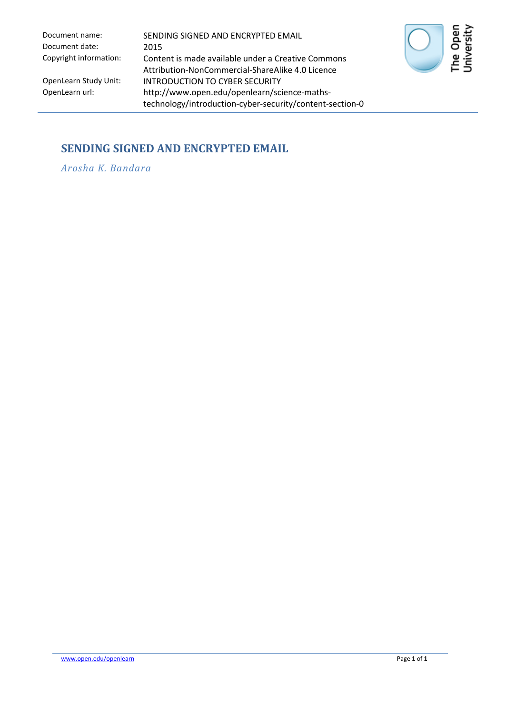Document date: 2015

Document name: SENDING SIGNED AND ENCRYPTED EMAIL Copyright information: Content is made available under a Creative Commons Attribution-NonCommercial-ShareAlike 4.0 Licence OpenLearn Study Unit: INTRODUCTION TO CYBER SECURITY<br>OpenLearn url: http://www.open.edu/openlearn/sci http://www.open.edu/openlearn/science-mathstechnology/introduction-cyber-security/content-section-0



## **SENDING SIGNED AND ENCRYPTED EMAIL**

*Arosha K. Bandara*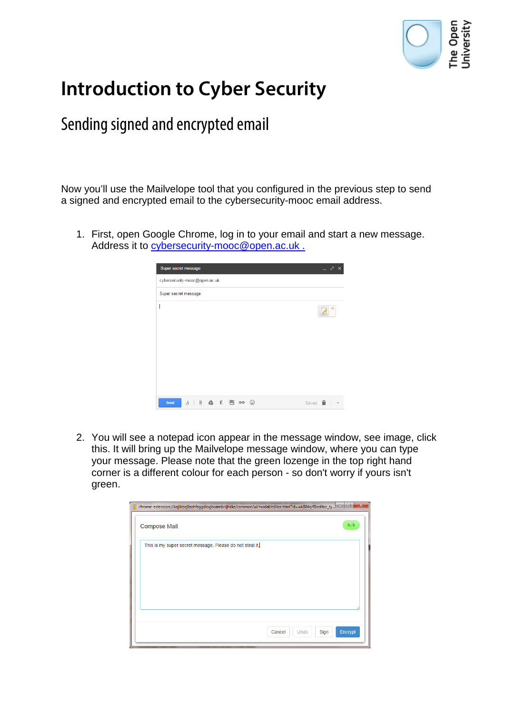

## **Introduction to Cyber Security**

## Sending signed and encrypted email

Now you'll use the Mailvelope tool that you configured in the previous step to send a signed and encrypted email to the cybersecurity-mooc email address.

1. First, open Google Chrome, log in to your email and start a new message. Address it to [cybersecurity-mooc@open.ac.uk](mailto:cybersecurity-mooc@open.ac.uk).

| Super secret message                            | $ \geq$ $\times$                 |
|-------------------------------------------------|----------------------------------|
| cybersecurity-mooc@open.ac.uk                   |                                  |
| Super secret message                            |                                  |
|                                                 | $\times$                         |
|                                                 |                                  |
|                                                 |                                  |
|                                                 |                                  |
| $A$   0 $A$ £ $\blacksquare$ co $\odot$<br>Send | Saved <b>in</b><br>$\rightarrow$ |

2. You will see a notepad icon appear in the message window, see image, click this. It will bring up the Mailvelope message window, where you can type your message. Please note that the green lozenge in the top right hand corner is a different colour for each person - so don't worry if yours isn't green.

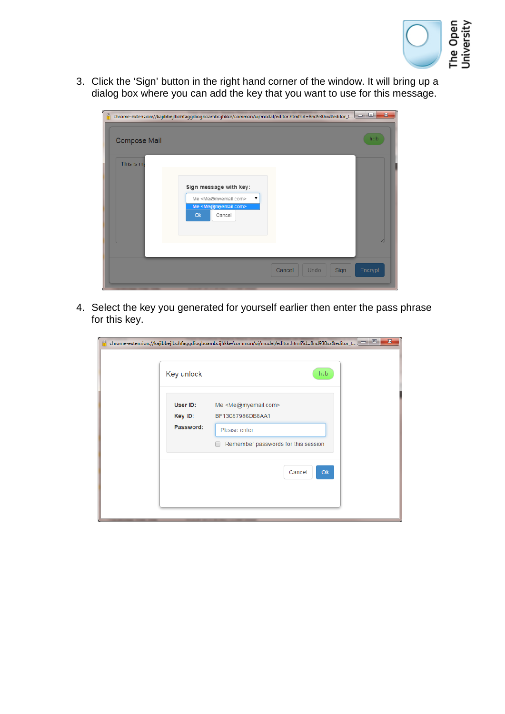

3. Click the 'Sign' button in the right hand corner of the window. It will bring up a dialog box where you can add the key that you want to use for this message.

| ρ                   | chrome-extension://kajibbejlbohfaggdiogboambcijhkke/common/ui/modal/editor.html?id=8nd930xx&editor_t                      | $\overline{\mathbf{x}}$<br>$\Box$ |
|---------------------|---------------------------------------------------------------------------------------------------------------------------|-----------------------------------|
| <b>Compose Mail</b> |                                                                                                                           | h:b                               |
| This is my          | Sign message with key:<br>Me <me@mvemail.com><br/>Me <me@myemail.com><br/>Ok<br/>Cancel</me@myemail.com></me@mvemail.com> |                                   |
|                     | Cancel<br>Undo<br>Sign                                                                                                    | Encrypt                           |

4. Select the key you generated for yourself earlier then enter the pass phrase for this key.

|                                  | $\mathbf{x}$<br>▣.<br>chrome-extension://kajibbejlbohfaggdiogboambcijhkke/common/ui/modal/editor.html?id=8nd930xx&editor_t |
|----------------------------------|----------------------------------------------------------------------------------------------------------------------------|
| Key unlock                       | h:b                                                                                                                        |
| User ID:<br>Key ID:<br>Password: | Me <me@myemail.com><br/>BF13087986DB8AA1<br/>Please enter<br/>Remember passwords for this session</me@myemail.com>         |
|                                  | O <sub>k</sub><br>Cancel                                                                                                   |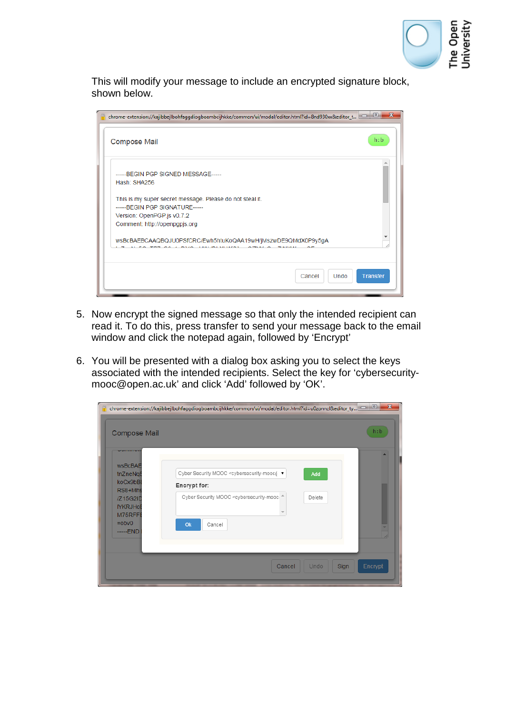

This will modify your message to include an encrypted signature block, shown below.

| chrome-extension://kajibbejlbohfaqqdioqboambcijhkke/common/ui/modal/editor.html?id=8nd930xx&editor_t                                                        | $\mathbf{x}$<br>$\qquad \qquad \Box$ |
|-------------------------------------------------------------------------------------------------------------------------------------------------------------|--------------------------------------|
| <b>Compose Mail</b>                                                                                                                                         | h:b                                  |
| -----BEGIN PGP SIGNED MESSAGE-----<br>Hash: SHA256                                                                                                          |                                      |
| This is my super secret message. Please do not steal it.<br>------ BEGIN PGP SIGNATURE------<br>Version: OpenPGP.js v0.7.2<br>Comment: http://openpgpjs.org |                                      |
| wsBcBAEBCAAQBQJU0PSfCRC/Ewh5htuKoQAA19wH/jMszwDE9QMdX0P9y5gA                                                                                                |                                      |
| Cancel<br>Undo                                                                                                                                              | <b>Transfer</b>                      |

- 5. Now encrypt the signed message so that only the intended recipient can read it. To do this, press transfer to send your message back to the email window and click the notepad again, followed by 'Encrypt'
- 6. You will be presented with a dialog box asking you to select the keys associated with the intended recipients. Select the key for 'cybersecuritymooc@open.ac.uk' and click 'Add' followed by 'OK'.

| А<br><b>Compose Mail</b>                                                                                                                             | chrome-extension://kajibbejlbohfaggdiogboambcijhkke/common/ui/modal/editor.html?id=u0zonnzl&editor_ty                                                                                         | $\overline{\mathbf{x}}$<br>h:b |
|------------------------------------------------------------------------------------------------------------------------------------------------------|-----------------------------------------------------------------------------------------------------------------------------------------------------------------------------------------------|--------------------------------|
| <b>SERVICE CONTROL</b><br><b>wsBcBAE</b><br>tnZneNq5<br>koCx9bBI<br>RS8+Mhs<br>/Z15G2ID<br><b>IYKRJHO</b><br>M75RFFI<br>$=$ obv $\theta$<br>-----END | Cyber Security MOOC <cybersecurity-mooc@ ▼<br="">Add<br/>Encrypt for:<br/>Cyber Security MOOC <cybersecurity-mooc ^<br="">Delete<br/>Ok<br/>Cancel</cybersecurity-mooc></cybersecurity-mooc@> |                                |
|                                                                                                                                                      | Sign<br>Cancel<br>Undo                                                                                                                                                                        | Encrypt                        |